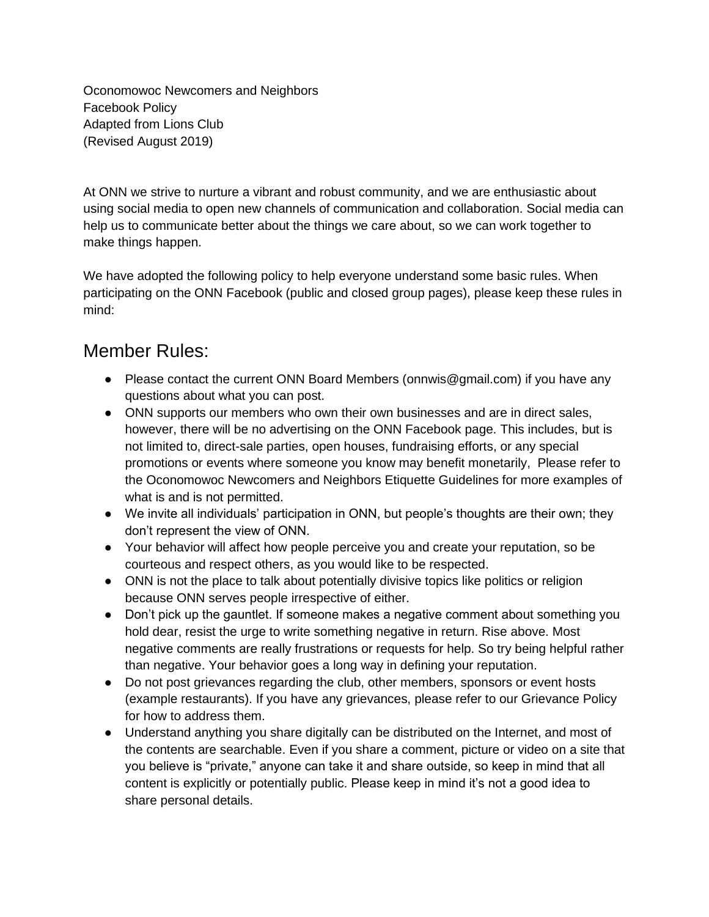Oconomowoc Newcomers and Neighbors Facebook Policy Adapted from Lions Club (Revised August 2019)

At ONN we strive to nurture a vibrant and robust community, and we are enthusiastic about using social media to open new channels of communication and collaboration. Social media can help us to communicate better about the things we care about, so we can work together to make things happen.

We have adopted the following policy to help everyone understand some basic rules. When participating on the ONN Facebook (public and closed group pages), please keep these rules in mind:

## Member Rules:

- Please contact the current ONN Board Members (onnwis@gmail.com) if you have any questions about what you can post.
- ONN supports our members who own their own businesses and are in direct sales, however, there will be no advertising on the ONN Facebook page. This includes, but is not limited to, direct-sale parties, open houses, fundraising efforts, or any special promotions or events where someone you know may benefit monetarily, Please refer to the Oconomowoc Newcomers and Neighbors Etiquette Guidelines for more examples of what is and is not permitted.
- We invite all individuals' participation in ONN, but people's thoughts are their own; they don't represent the view of ONN.
- Your behavior will affect how people perceive you and create your reputation, so be courteous and respect others, as you would like to be respected.
- ONN is not the place to talk about potentially divisive topics like politics or religion because ONN serves people irrespective of either.
- Don't pick up the gauntlet. If someone makes a negative comment about something you hold dear, resist the urge to write something negative in return. Rise above. Most negative comments are really frustrations or requests for help. So try being helpful rather than negative. Your behavior goes a long way in defining your reputation.
- Do not post grievances regarding the club, other members, sponsors or event hosts (example restaurants). If you have any grievances, please refer to our Grievance Policy for how to address them.
- Understand anything you share digitally can be distributed on the Internet, and most of the contents are searchable. Even if you share a comment, picture or video on a site that you believe is "private," anyone can take it and share outside, so keep in mind that all content is explicitly or potentially public. Please keep in mind it's not a good idea to share personal details.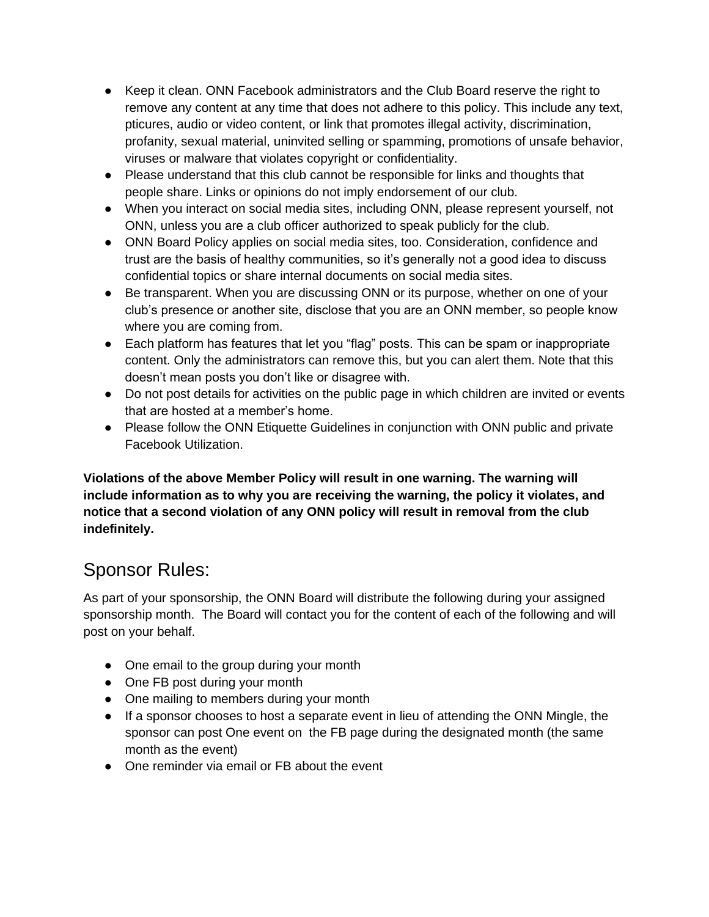- Keep it clean. ONN Facebook administrators and the Club Board reserve the right to remove any content at any time that does not adhere to this policy. This include any text, pticures, audio or video content, or link that promotes illegal activity, discrimination, profanity, sexual material, uninvited selling or spamming, promotions of unsafe behavior, viruses or malware that violates copyright or confidentiality.
- Please understand that this club cannot be responsible for links and thoughts that people share. Links or opinions do not imply endorsement of our club.
- When you interact on social media sites, including ONN, please represent yourself, not ONN, unless you are a club officer authorized to speak publicly for the club.
- ONN Board Policy applies on social media sites, too. Consideration, confidence and trust are the basis of healthy communities, so it's generally not a good idea to discuss confidential topics or share internal documents on social media sites.
- Be transparent. When you are discussing ONN or its purpose, whether on one of your club's presence or another site, disclose that you are an ONN member, so people know where you are coming from.
- Each platform has features that let you "flag" posts. This can be spam or inappropriate content. Only the administrators can remove this, but you can alert them. Note that this doesn't mean posts you don't like or disagree with.
- Do not post details for activities on the public page in which children are invited or events that are hosted at a member's home.
- Please follow the ONN Etiquette Guidelines in conjunction with ONN public and private Facebook Utilization.

**Violations of the above Member Policy will result in one warning. The warning will include information as to why you are receiving the warning, the policy it violates, and notice that a second violation of any ONN policy will result in removal from the club indefinitely.**

## Sponsor Rules:

As part of your sponsorship, the ONN Board will distribute the following during your assigned sponsorship month. The Board will contact you for the content of each of the following and will post on your behalf.

- One email to the group during your month
- One FB post during your month
- One mailing to members during your month
- If a sponsor chooses to host a separate event in lieu of attending the ONN Mingle, the sponsor can post One event on the FB page during the designated month (the same month as the event)
- One reminder via email or FB about the event